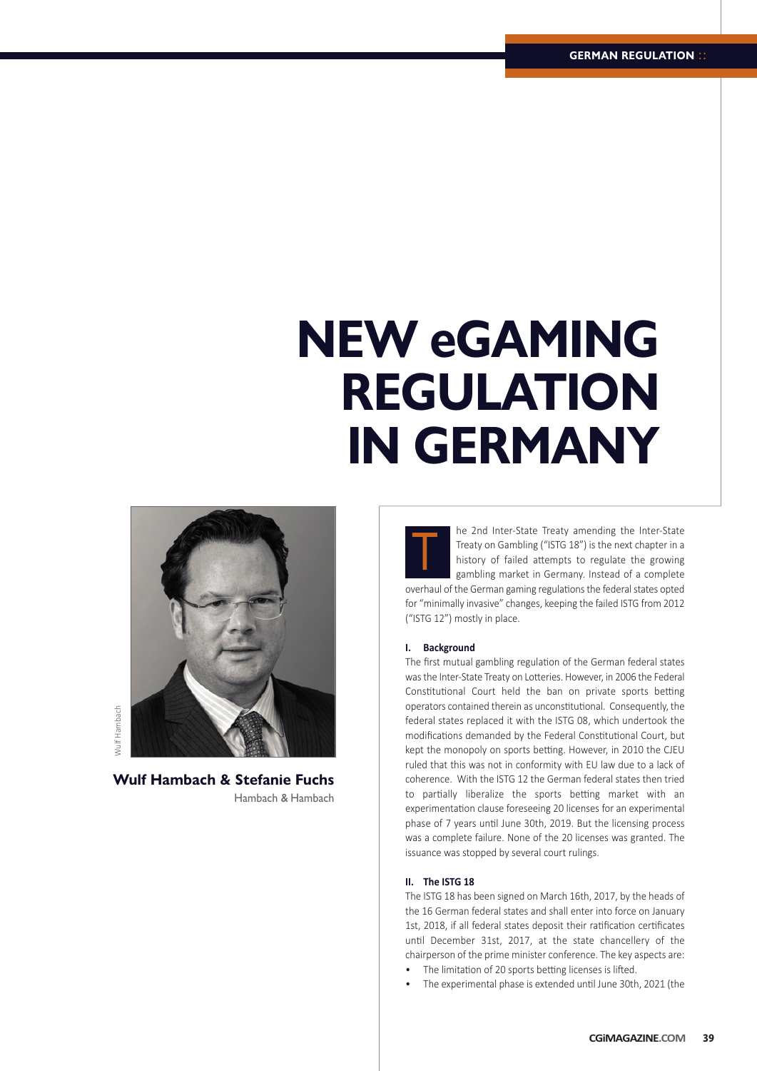# **NEW eGAMING rEGuLATION IN GErMANY**



**Wulf Hambach & Stefanie fuchs** hambach & hambach

he 2nd Inter-State Treaty amending the Inter-State Treaty on Gambling ("ISTG 18") is the next chapter in a history of failed attempts to regulate the growing gambling market in Germany. Instead of a complete overhaul of the German gaming regulations the federal states opted for "minimally invasive" changes, keeping the failed ISTG from 2012 ("ISTG 12") mostly in place.  $\mathbf{T}$ 

### **I. Background**

The first mutual gambling regulation of the German federal states wasthe Inter-State Treaty on Lotteries. However, in 2006 the Federal Constitutional Court held the ban on private sports betting operators contained therein as unconstitutional. Consequently, the federal states replaced it with the ISTG 08, which undertook the modifications demanded by the Federal Constitutional Court, but kept the monopoly on sports betting. However, in 2010 the CJEU ruled that this was not in conformity with EU law due to a lack of coherence. With the ISTG 12 the German federal states then tried to partially liberalize the sports betting market with an experimentation clause foreseeing 20 licenses for an experimental phase of 7 years until June 30th, 2019. But the licensing process was a complete failure. None of the 20 licenses was granted. The issuance was stopped by several court rulings.

# **II. The ISTG 18**

The ISTG 18 has been signed on March 16th, 2017, by the heads of the 16 German federal states and shall enter into force on January 1st, 2018, if all federal states deposit their ratification certificates until December 31st, 2017, at the state chancellery of the chairperson of the prime minister conference. The key aspects are:

- The limitation of 20 sports betting licenses is lifted.
- The experimental phase is extended until June 30th, 2021 (the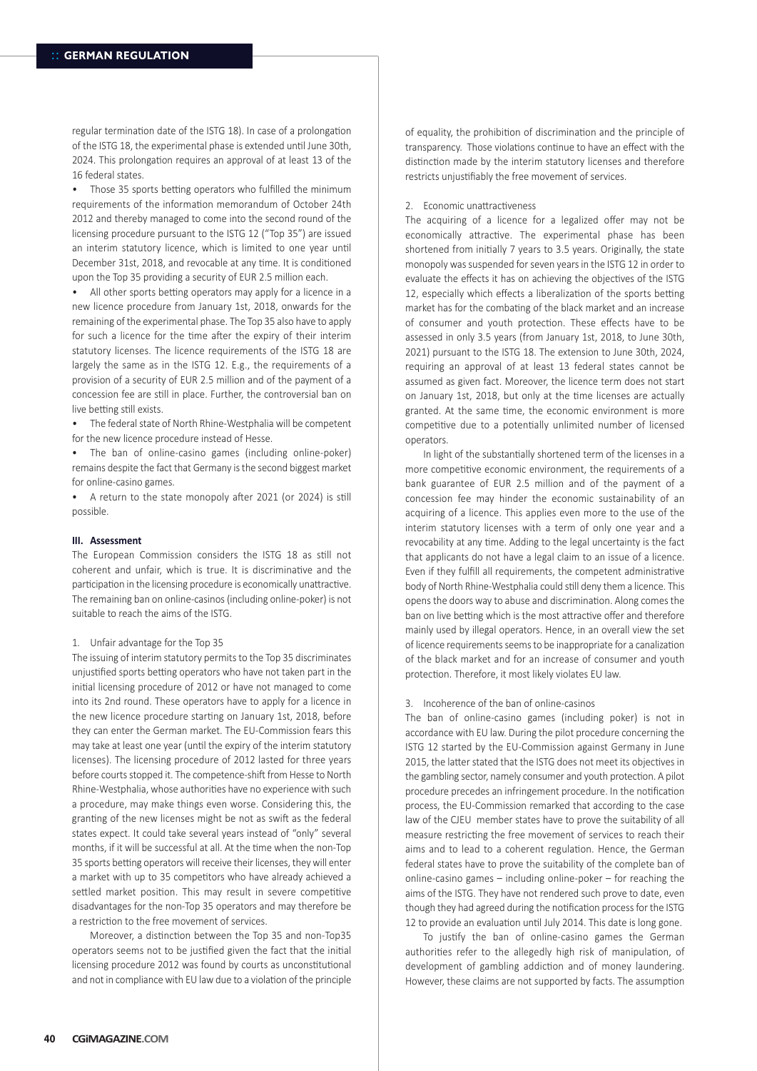regular termination date of the ISTG 18). In case of a prolongation of the ISTG 18, the experimental phase is extended until June 30th, 2024. This prolongation requires an approval of at least 13 of the 16 federal states.

• Those 35 sports betting operators who fulfilled the minimum requirements of the information memorandum of October 24th 2012 and thereby managed to come into the second round of the licensing procedure pursuant to the ISTG 12 ("Top 35") are issued an interim statutory licence, which is limited to one year until December 31st, 2018, and revocable at any time. It is conditioned upon the Top 35 providing a security of EUR 2.5 million each.

All other sports betting operators may apply for a licence in a new licence procedure from January 1st, 2018, onwards for the remaining of the experimental phase. The Top 35 also have to apply for such a licence for the time after the expiry of their interim statutory licenses. The licence requirements of the ISTG 18 are largely the same as in the ISTG 12. E.g., the requirements of a provision of a security of EUR 2.5 million and of the payment of a concession fee are still in place. Further, the controversial ban on live betting still exists.

• The federal state of North Rhine-Westphalia will be competent for the new licence procedure instead of Hesse.

The ban of online-casino games (including online-poker) remains despite the fact that Germany isthe second biggest market for online-casino games.

• A return to the state monopoly after 2021 (or 2024) is still possible.

## **III. Assessment**

The European Commission considers the ISTG 18 as still not coherent and unfair, which is true. It is discriminative and the participation in the licensing procedure is economically unattractive. The remaining ban on online-casinos(including online-poker) is not suitable to reach the aims of the ISTG.

## 1. Unfair advantage for the Top 35

The issuing of interim statutory permits to the Top 35 discriminates unjustified sports betting operators who have not taken part in the initial licensing procedure of 2012 or have not managed to come into its 2nd round. These operators have to apply for a licence in the new licence procedure starting on January 1st, 2018, before they can enter the German market. The EU-Commission fears this may take at least one year (until the expiry of the interim statutory licenses). The licensing procedure of 2012 lasted for three years before courts stopped it. The competence-shift from Hesse to North Rhine-Westphalia, whose authorities have no experience with such a procedure, may make things even worse. Considering this, the granting of the new licenses might be not as swift as the federal states expect. It could take several years instead of "only" several months, if it will be successful at all. At the time when the non-Top 35 sports betting operators will receive their licenses, they will enter a market with up to 35 competitors who have already achieved a settled market position. This may result in severe competitive disadvantages for the non-Top 35 operators and may therefore be a restriction to the free movement of services.

Moreover, a distinction between the Top 35 and non-Top35 operators seems not to be justified given the fact that the initial licensing procedure 2012 was found by courts as unconstitutional and not in compliance with EU law due to a violation of the principle

of equality, the prohibition of discrimination and the principle of transparency. Those violations continue to have an effect with the distinction made by the interim statutory licenses and therefore restricts unjustifiably the free movement of services.

#### 2. Economic unattractiveness

The acquiring of a licence for a legalized offer may not be economically attractive. The experimental phase has been shortened from initially 7 years to 3.5 years. Originally, the state monopoly was suspended for seven years in the ISTG 12 in order to evaluate the effects it has on achieving the objectives of the ISTG 12, especially which effects a liberalization of the sports betting market has for the combating of the black market and an increase of consumer and youth protection. These effects have to be assessed in only 3.5 years (from January 1st, 2018, to June 30th, 2021) pursuant to the ISTG 18. The extension to June 30th, 2024, requiring an approval of at least 13 federal states cannot be assumed as given fact. Moreover, the licence term does not start on January 1st, 2018, but only at the time licenses are actually granted. At the same time, the economic environment is more competitive due to a potentially unlimited number of licensed operators.

In light of the substantially shortened term of the licenses in a more competitive economic environment, the requirements of a bank guarantee of EUR 2.5 million and of the payment of a concession fee may hinder the economic sustainability of an acquiring of a licence. This applies even more to the use of the interim statutory licenses with a term of only one year and a revocability at any time. Adding to the legal uncertainty is the fact that applicants do not have a legal claim to an issue of a licence. Even if they fulfill all requirements, the competent administrative body of North Rhine-Westphalia could still deny them a licence. This opens the doors way to abuse and discrimination. Along comes the ban on live betting which is the most attractive offer and therefore mainly used by illegal operators. Hence, in an overall view the set of licence requirements seems to be inappropriate for a canalization of the black market and for an increase of consumer and youth protection. Therefore, it most likely violates EU law.

# 3. Incoherence of the ban of online-casinos

The ban of online-casino games (including poker) is not in accordance with EU law. During the pilot procedure concerning the ISTG 12 started by the EU-Commission against Germany in June 2015, the latter stated that the ISTG does not meet its objectives in the gambling sector, namely consumer and youth protection. A pilot procedure precedes an infringement procedure. In the notification process, the EU-Commission remarked that according to the case law of the CJEU member states have to prove the suitability of all measure restricting the free movement of services to reach their aims and to lead to a coherent regulation. Hence, the German federal states have to prove the suitability of the complete ban of online-casino games – including online-poker – for reaching the aims of the ISTG. They have not rendered such prove to date, even though they had agreed during the notification process for the ISTG 12 to provide an evaluation until July 2014. This date is long gone.

To justify the ban of online-casino games the German authorities refer to the allegedly high risk of manipulation, of development of gambling addiction and of money laundering. However, these claims are not supported by facts. The assumption